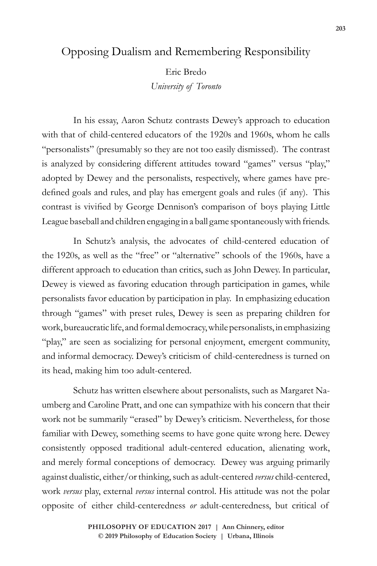## Opposing Dualism and Remembering Responsibility

Eric Bredo *University of Toronto*

In his essay, Aaron Schutz contrasts Dewey's approach to education with that of child-centered educators of the 1920s and 1960s, whom he calls "personalists" (presumably so they are not too easily dismissed). The contrast is analyzed by considering different attitudes toward "games" versus "play," adopted by Dewey and the personalists, respectively, where games have predefined goals and rules, and play has emergent goals and rules (if any). This contrast is vivified by George Dennison's comparison of boys playing Little League baseball and children engaging in a ball game spontaneously with friends.

In Schutz's analysis, the advocates of child-centered education of the 1920s, as well as the "free" or "alternative" schools of the 1960s, have a different approach to education than critics, such as John Dewey. In particular, Dewey is viewed as favoring education through participation in games, while personalists favor education by participation in play. In emphasizing education through "games" with preset rules, Dewey is seen as preparing children for work, bureaucratic life, and formal democracy, while personalists, in emphasizing "play," are seen as socializing for personal enjoyment, emergent community, and informal democracy. Dewey's criticism of child-centeredness is turned on its head, making him too adult-centered.

Schutz has written elsewhere about personalists, such as Margaret Naumberg and Caroline Pratt, and one can sympathize with his concern that their work not be summarily "erased" by Dewey's criticism. Nevertheless, for those familiar with Dewey, something seems to have gone quite wrong here. Dewey consistently opposed traditional adult-centered education, alienating work, and merely formal conceptions of democracy. Dewey was arguing primarily against dualistic, either/or thinking, such as adult-centered *versus* child-centered, work *versus* play, external *versus* internal control. His attitude was not the polar opposite of either child-centeredness *or* adult-centeredness, but critical of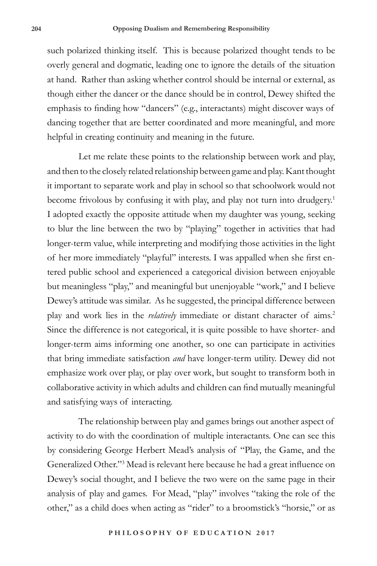such polarized thinking itself. This is because polarized thought tends to be overly general and dogmatic, leading one to ignore the details of the situation at hand. Rather than asking whether control should be internal or external, as though either the dancer or the dance should be in control, Dewey shifted the emphasis to finding how "dancers" (e.g., interactants) might discover ways of dancing together that are better coordinated and more meaningful, and more helpful in creating continuity and meaning in the future.

Let me relate these points to the relationship between work and play, and then to the closely related relationship between game and play. Kant thought it important to separate work and play in school so that schoolwork would not become frivolous by confusing it with play, and play not turn into drudgery.<sup>1</sup> I adopted exactly the opposite attitude when my daughter was young, seeking to blur the line between the two by "playing" together in activities that had longer-term value, while interpreting and modifying those activities in the light of her more immediately "playful" interests. I was appalled when she first entered public school and experienced a categorical division between enjoyable but meaningless "play," and meaningful but unenjoyable "work," and I believe Dewey's attitude was similar. As he suggested, the principal difference between play and work lies in the *relatively* immediate or distant character of aims.<sup>2</sup> Since the difference is not categorical, it is quite possible to have shorter- and longer-term aims informing one another, so one can participate in activities that bring immediate satisfaction *and* have longer-term utility. Dewey did not emphasize work over play, or play over work, but sought to transform both in collaborative activity in which adults and children can find mutually meaningful and satisfying ways of interacting.

The relationship between play and games brings out another aspect of activity to do with the coordination of multiple interactants. One can see this by considering George Herbert Mead's analysis of "Play, the Game, and the Generalized Other."<sup>3</sup> Mead is relevant here because he had a great influence on Dewey's social thought, and I believe the two were on the same page in their analysis of play and games. For Mead, "play" involves "taking the role of the other," as a child does when acting as "rider" to a broomstick's "horsie," or as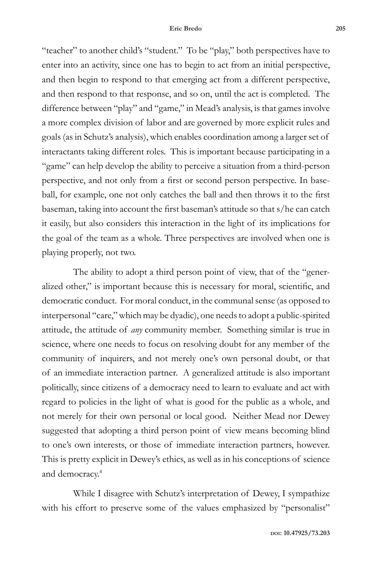"teacher" to another child's "student." To be "play," both perspectives have to enter into an activity, since one has to begin to act from an initial perspective, and then begin to respond to that emerging act from a different perspective, and then respond to that response, and so on, until the act is completed. The difference between "play" and "game," in Mead's analysis, is that games involve a more complex division of labor and are governed by more explicit rules and goals (as in Schutz's analysis), which enables coordination among a larger set of interactants taking different roles. This is important because participating in a "game" can help develop the ability to perceive a situation from a third-person perspective, and not only from a first or second person perspective. In baseball, for example, one not only catches the ball and then throws it to the first baseman, taking into account the first baseman's attitude so that s/he can catch it easily, but also considers this interaction in the light of its implications for the goal of the team as a whole. Three perspectives are involved when one is playing properly, not two.

The ability to adopt a third person point of view, that of the "generalized other," is important because this is necessary for moral, scientific, and democratic conduct. For moral conduct, in the communal sense (as opposed to interpersonal "care," which may be dyadic), one needs to adopt a public-spirited attitude, the attitude of *any* community member. Something similar is true in science, where one needs to focus on resolving doubt for any member of the community of inquirers, and not merely one's own personal doubt, or that of an immediate interaction partner. A generalized attitude is also important politically, since citizens of a democracy need to learn to evaluate and act with regard to policies in the light of what is good for the public as a whole, and not merely for their own personal or local good. Neither Mead nor Dewey suggested that adopting a third person point of view means becoming blind to one's own interests, or those of immediate interaction partners, however. This is pretty explicit in Dewey's ethics, as well as in his conceptions of science and democracy.4

While I disagree with Schutz's interpretation of Dewey, I sympathize with his effort to preserve some of the values emphasized by "personalist"